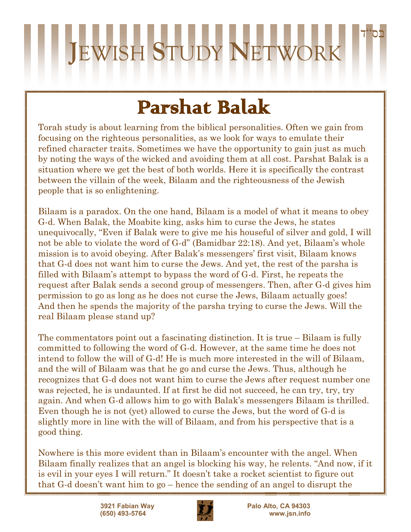## בס"ד **J**EWISH **S**TUDY **N**ETWORK

### Parshat Balak

Torah study is about learning from the biblical personalities. Often we gain from focusing on the righteous personalities, as we look for ways to emulate their refined character traits. Sometimes we have the opportunity to gain just as much by noting the ways of the wicked and avoiding them at all cost. Parshat Balak is a situation where we get the best of both worlds. Here it is specifically the contrast between the villain of the week, Bilaam and the righteousness of the Jewish people that is so enlightening.

Bilaam is a paradox. On the one hand, Bilaam is a model of what it means to obey G-d. When Balak, the Moabite king, asks him to curse the Jews, he states unequivocally, "Even if Balak were to give me his houseful of silver and gold, I will not be able to violate the word of G-d" (Bamidbar 22:18). And yet, Bilaam's whole mission is to avoid obeying. After Balak's messengers' first visit, Bilaam knows that G-d does not want him to curse the Jews. And yet, the rest of the parsha is filled with Bilaam's attempt to bypass the word of G-d. First, he repeats the request after Balak sends a second group of messengers. Then, after G-d gives him permission to go as long as he does not curse the Jews, Bilaam actually goes! And then he spends the majority of the parsha trying to curse the Jews. Will the real Bilaam please stand up?

The commentators point out a fascinating distinction. It is true – Bilaam is fully committed to following the word of G-d. However, at the same time he does not intend to follow the will of G-d! He is much more interested in the will of Bilaam, and the will of Bilaam was that he go and curse the Jews. Thus, although he recognizes that G-d does not want him to curse the Jews after request number one was rejected, he is undaunted. If at first he did not succeed, he can try, try, try again. And when G-d allows him to go with Balak's messengers Bilaam is thrilled. Even though he is not (yet) allowed to curse the Jews, but the word of G-d is slightly more in line with the will of Bilaam, and from his perspective that is a good thing.

Nowhere is this more evident than in Bilaam's encounter with the angel. When Bilaam finally realizes that an angel is blocking his way, he relents. "And now, if it is evil in your eyes I will return." It doesn't take a rocket scientist to figure out that G-d doesn't want him to go – hence the sending of an angel to disrupt the